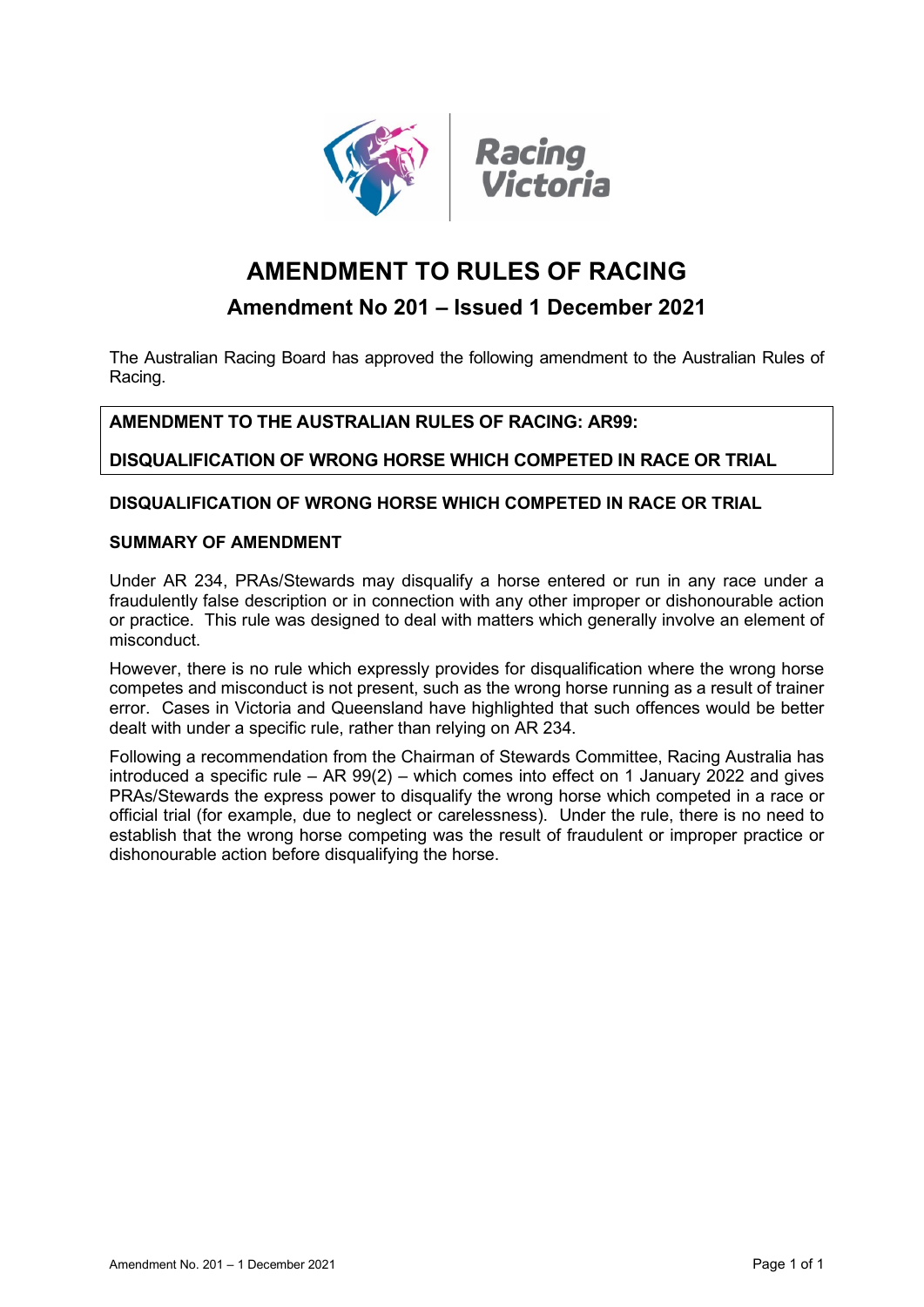



# **AMENDMENT TO RULES OF RACING**

# **Amendment No 201 – Issued 1 December 2021**

The Australian Racing Board has approved the following amendment to the Australian Rules of Racing.

## **AMENDMENT TO THE AUSTRALIAN RULES OF RACING: AR99:**

**DISQUALIFICATION OF WRONG HORSE WHICH COMPETED IN RACE OR TRIAL**

### **DISQUALIFICATION OF WRONG HORSE WHICH COMPETED IN RACE OR TRIAL**

#### **SUMMARY OF AMENDMENT**

Under AR 234, PRAs/Stewards may disqualify a horse entered or run in any race under a fraudulently false description or in connection with any other improper or dishonourable action or practice. This rule was designed to deal with matters which generally involve an element of misconduct.

However, there is no rule which expressly provides for disqualification where the wrong horse competes and misconduct is not present, such as the wrong horse running as a result of trainer error. Cases in Victoria and Queensland have highlighted that such offences would be better dealt with under a specific rule, rather than relying on AR 234.

Following a recommendation from the Chairman of Stewards Committee, Racing Australia has introduced a specific rule – AR 99(2) – which comes into effect on 1 January 2022 and gives PRAs/Stewards the express power to disqualify the wrong horse which competed in a race or official trial (for example, due to neglect or carelessness). Under the rule, there is no need to establish that the wrong horse competing was the result of fraudulent or improper practice or dishonourable action before disqualifying the horse.